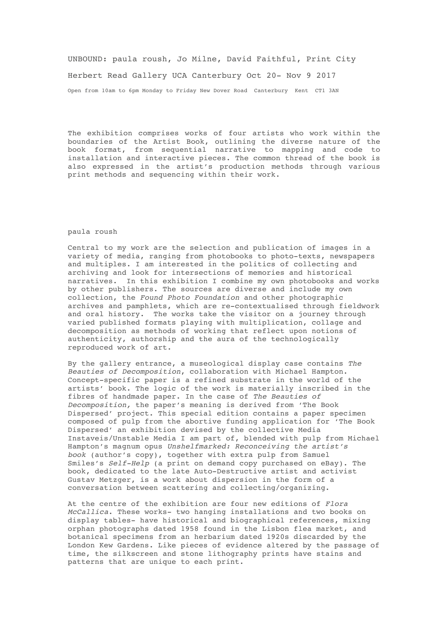## UNBOUND: paula roush, Jo Milne, David Faithful, Print City Herbert Read Gallery UCA Canterbury Oct 20- Nov 9 2017 Open from 10am to 6pm Monday to Friday New Dover Road Canterbury Kent CT1 3AN

The exhibition comprises works of four artists who work within the boundaries of the Artist Book, outlining the diverse nature of the book format, from sequential narrative to mapping and code to installation and interactive pieces. The common thread of the book is also expressed in the artist's production methods through various print methods and sequencing within their work.

## paula roush

Central to my work are the selection and publication of images in a variety of media, ranging from photobooks to photo-texts, newspapers and multiples. I am interested in the politics of collecting and archiving and look for intersections of memories and historical narratives. In this exhibition I combine my own photobooks and works by other publishers. The sources are diverse and include my own collection, the *Found Photo Foundation* and other photographic archives and pamphlets, which are re-contextualised through fieldwork and oral history. The works take the visitor on a journey through varied published formats playing with multiplication, collage and decomposition as methods of working that reflect upon notions of authenticity, authorship and the aura of the technologically reproduced work of art.

By the gallery entrance, a museological display case contains *The Beauties of Decomposition*, collaboration with Michael Hampton. Concept-specific paper is a refined substrate in the world of the artists' book. The logic of the work is materially inscribed in the fibres of handmade paper. In the case of *The Beauties of Decomposition,* the paper's meaning is derived from 'The Book Dispersed' project. This special edition contains a paper specimen composed of pulp from the abortive funding application for 'The Book Dispersed' an exhibition devised by the collective Media Instaveis/Unstable Media I am part of, blended with pulp from Michael Hampton's magnum opus *Unshelfmarked: Reconceiving the artist's book* (author's copy), together with extra pulp from Samuel Smiles's *Self-Help* (a print on demand copy purchased on eBay). The book, dedicated to the late Auto-Destructive artist and activist Gustav Metzger, is a work about dispersion in the form of a conversation between scattering and collecting/organizing.

At the centre of the exhibition are four new editions of *Flora McCallica*. These works- two hanging installations and two books on display tables- have historical and biographical references, mixing orphan photographs dated 1958 found in the Lisbon flea market, and botanical specimens from an herbarium dated 1920s discarded by the London Kew Gardens. Like pieces of evidence altered by the passage of time, the silkscreen and stone lithography prints have stains and patterns that are unique to each print.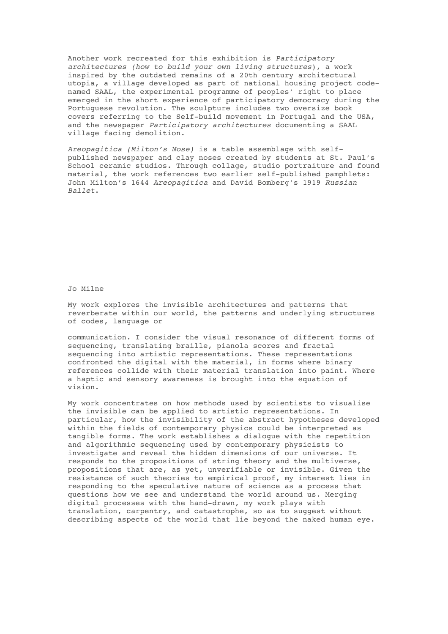Another work recreated for this exhibition is *Participatory architectures (how to build your own living structures*), a work inspired by the outdated remains of a 20th century architectural utopia, a village developed as part of national housing project codenamed SAAL, the experimental programme of peoples' right to place emerged in the short experience of participatory democracy during the Portuguese revolution. The sculpture includes two oversize book covers referring to the Self-build movement in Portugal and the USA, and the newspaper *Participatory architectures* documenting a SAAL village facing demolition.

*Areopagitica (Milton's Nose)* is a table assemblage with selfpublished newspaper and clay noses created by students at St. Paul's School ceramic studios. Through collage, studio portraiture and found material, the work references two earlier self-published pamphlets: John Milton's 1644 *Areopagitica* and David Bomberg's 1919 *Russian Ballet*.

Jo Milne

My work explores the invisible architectures and patterns that reverberate within our world, the patterns and underlying structures of codes, language or

communication. I consider the visual resonance of different forms of sequencing, translating braille, pianola scores and fractal sequencing into artistic representations. These representations confronted the digital with the material, in forms where binary references collide with their material translation into paint. Where a haptic and sensory awareness is brought into the equation of vision.

My work concentrates on how methods used by scientists to visualise the invisible can be applied to artistic representations. In particular, how the invisibility of the abstract hypotheses developed within the fields of contemporary physics could be interpreted as tangible forms. The work establishes a dialogue with the repetition and algorithmic sequencing used by contemporary physicists to investigate and reveal the hidden dimensions of our universe. It responds to the propositions of string theory and the multiverse, propositions that are, as yet, unverifiable or invisible. Given the resistance of such theories to empirical proof, my interest lies in responding to the speculative nature of science as a process that questions how we see and understand the world around us. Merging digital processes with the hand-drawn, my work plays with translation, carpentry, and catastrophe, so as to suggest without describing aspects of the world that lie beyond the naked human eye.